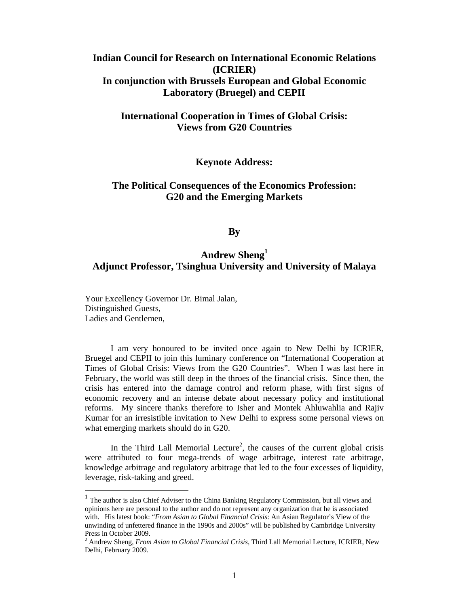# **Indian Council for Research on International Economic Relations (ICRIER) In conjunction with Brussels European and Global Economic Laboratory (Bruegel) and CEPII**

# **International Cooperation in Times of Global Crisis: Views from G20 Countries**

## **Keynote Address:**

# **The Political Consequences of the Economics Profession: G20 and the Emerging Markets**

## **By**

# **Andrew Sheng<sup>1</sup> Adjunct Professor, Tsinghua University and University of Malaya**

Your Excellency Governor Dr. Bimal Jalan, Distinguished Guests, Ladies and Gentlemen,

 $\overline{a}$ 

 I am very honoured to be invited once again to New Delhi by ICRIER, Bruegel and CEPII to join this luminary conference on "International Cooperation at Times of Global Crisis: Views from the G20 Countries". When I was last here in February, the world was still deep in the throes of the financial crisis. Since then, the crisis has entered into the damage control and reform phase, with first signs of economic recovery and an intense debate about necessary policy and institutional reforms. My sincere thanks therefore to Isher and Montek Ahluwahlia and Rajiv Kumar for an irresistible invitation to New Delhi to express some personal views on what emerging markets should do in G20.

In the Third Lall Memorial Lecture<sup>2</sup>, the causes of the current global crisis were attributed to four mega-trends of wage arbitrage, interest rate arbitrage, knowledge arbitrage and regulatory arbitrage that led to the four excesses of liquidity, leverage, risk-taking and greed.

<sup>&</sup>lt;sup>1</sup> The author is also Chief Adviser to the China Banking Regulatory Commission, but all views and opinions here are personal to the author and do not represent any organization that he is associated with. His latest book: "*From Asian to Global Financial Crisis*: An Asian Regulator's View of the unwinding of unfettered finance in the 1990s and 2000s" will be published by Cambridge University Press in October 2009.

<sup>2</sup> Andrew Sheng, *From Asian to Global Financial Crisis*, Third Lall Memorial Lecture, ICRIER, New Delhi, February 2009.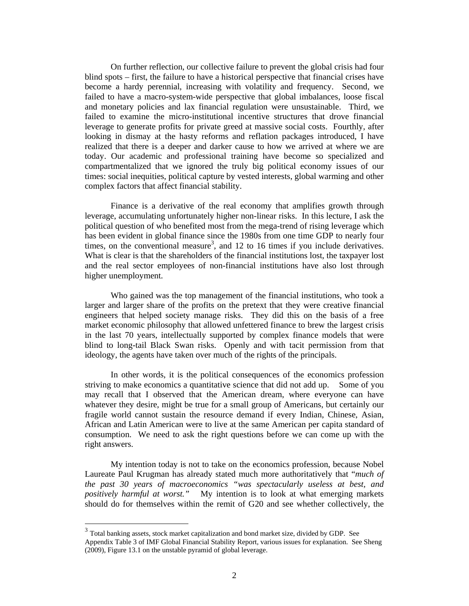On further reflection, our collective failure to prevent the global crisis had four blind spots – first, the failure to have a historical perspective that financial crises have become a hardy perennial, increasing with volatility and frequency. Second, we failed to have a macro-system-wide perspective that global imbalances, loose fiscal and monetary policies and lax financial regulation were unsustainable. Third, we failed to examine the micro-institutional incentive structures that drove financial leverage to generate profits for private greed at massive social costs. Fourthly, after looking in dismay at the hasty reforms and reflation packages introduced, I have realized that there is a deeper and darker cause to how we arrived at where we are today. Our academic and professional training have become so specialized and compartmentalized that we ignored the truly big political economy issues of our times: social inequities, political capture by vested interests, global warming and other complex factors that affect financial stability.

 Finance is a derivative of the real economy that amplifies growth through leverage, accumulating unfortunately higher non-linear risks. In this lecture, I ask the political question of who benefited most from the mega-trend of rising leverage which has been evident in global finance since the 1980s from one time GDP to nearly four times, on the conventional measure<sup>3</sup>, and 12 to 16 times if you include derivatives. What is clear is that the shareholders of the financial institutions lost, the taxpayer lost and the real sector employees of non-financial institutions have also lost through higher unemployment.

 Who gained was the top management of the financial institutions, who took a larger and larger share of the profits on the pretext that they were creative financial engineers that helped society manage risks. They did this on the basis of a free market economic philosophy that allowed unfettered finance to brew the largest crisis in the last 70 years, intellectually supported by complex finance models that were blind to long-tail Black Swan risks. Openly and with tacit permission from that ideology, the agents have taken over much of the rights of the principals.

 In other words, it is the political consequences of the economics profession striving to make economics a quantitative science that did not add up. Some of you may recall that I observed that the American dream, where everyone can have whatever they desire, might be true for a small group of Americans, but certainly our fragile world cannot sustain the resource demand if every Indian, Chinese, Asian, African and Latin American were to live at the same American per capita standard of consumption. We need to ask the right questions before we can come up with the right answers.

 My intention today is not to take on the economics profession, because Nobel Laureate Paul Krugman has already stated much more authoritatively that "*much of the past 30 years of macroeconomics "was spectacularly useless at best, and positively harmful at worst."* My intention is to look at what emerging markets should do for themselves within the remit of G20 and see whether collectively, the

<sup>&</sup>lt;sup>3</sup> Total banking assets, stock market capitalization and bond market size, divided by GDP. See Appendix Table 3 of IMF Global Financial Stability Report, various issues for explanation. See Sheng (2009), Figure 13.1 on the unstable pyramid of global leverage.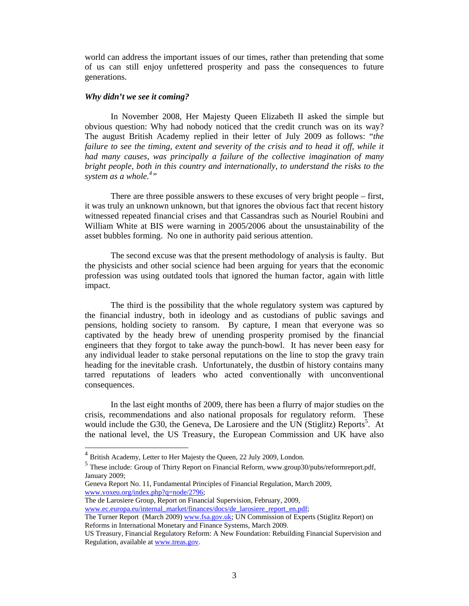world can address the important issues of our times, rather than pretending that some of us can still enjoy unfettered prosperity and pass the consequences to future generations.

#### *Why didn't we see it coming?*

 In November 2008, Her Majesty Queen Elizabeth II asked the simple but obvious question: Why had nobody noticed that the credit crunch was on its way? The august British Academy replied in their letter of July 2009 as follows: "*the*  failure to see the timing, extent and severity of the crisis and to head it off, while it *had many causes, was principally a failure of the collective imagination of many bright people, both in this country and internationally, to understand the risks to the*  system as a whole.<sup>4</sup>"

 There are three possible answers to these excuses of very bright people – first, it was truly an unknown unknown, but that ignores the obvious fact that recent history witnessed repeated financial crises and that Cassandras such as Nouriel Roubini and William White at BIS were warning in 2005/2006 about the unsustainability of the asset bubbles forming. No one in authority paid serious attention.

 The second excuse was that the present methodology of analysis is faulty. But the physicists and other social science had been arguing for years that the economic profession was using outdated tools that ignored the human factor, again with little impact.

 The third is the possibility that the whole regulatory system was captured by the financial industry, both in ideology and as custodians of public savings and pensions, holding society to ransom. By capture, I mean that everyone was so captivated by the heady brew of unending prosperity promised by the financial engineers that they forgot to take away the punch-bowl. It has never been easy for any individual leader to stake personal reputations on the line to stop the gravy train heading for the inevitable crash. Unfortunately, the dustbin of history contains many tarred reputations of leaders who acted conventionally with unconventional consequences.

 In the last eight months of 2009, there has been a flurry of major studies on the crisis, recommendations and also national proposals for regulatory reform. These would include the G30, the Geneva, De Larosiere and the UN (Stiglitz) Reports<sup>5</sup>. At the national level, the US Treasury, the European Commission and UK have also

 $\overline{a}$ 

The de Larosiere Group, Report on Financial Supervision, February, 2009, www.ec.europa.eu/internal\_market/finances/docs/de\_larosiere\_report\_en.pdf;

 $4$  British Academy, Letter to Her Majesty the Queen, 22 July 2009, London.

<sup>5&</sup>lt;br>These include: Group of Thirty Report on Financial Reform, www.group30/pubs/reformreport.pdf, January 2009;

Geneva Report No. 11, Fundamental Principles of Financial Regulation, March 2009, www.voxeu.org/index.php?q=node/2796;

The Turner Report (March 2009) www.fsa.gov.uk; UN Commission of Experts (Stiglitz Report) on Reforms in International Monetary and Finance Systems, March 2009.

US Treasury, Financial Regulatory Reform: A New Foundation: Rebuilding Financial Supervision and Regulation, available at www.treas.gov.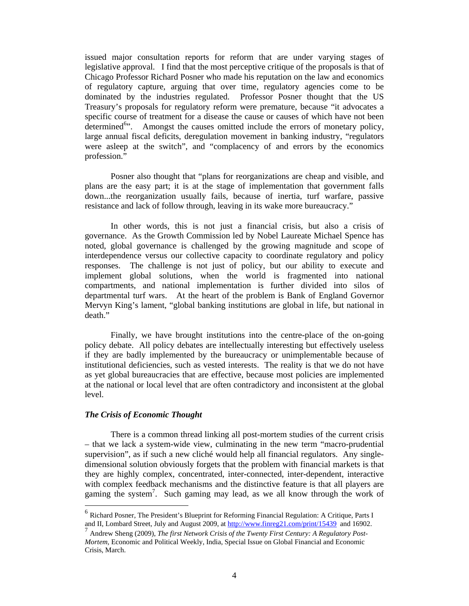issued major consultation reports for reform that are under varying stages of legislative approval. I find that the most perceptive critique of the proposals is that of Chicago Professor Richard Posner who made his reputation on the law and economics of regulatory capture, arguing that over time, regulatory agencies come to be dominated by the industries regulated. Professor Posner thought that the US Treasury's proposals for regulatory reform were premature, because "it advocates a specific course of treatment for a disease the cause or causes of which have not been determined<sup>6</sup><sup>3</sup>. Amongst the causes omitted include the errors of monetary policy, large annual fiscal deficits, deregulation movement in banking industry, "regulators were asleep at the switch", and "complacency of and errors by the economics profession."

 Posner also thought that "plans for reorganizations are cheap and visible, and plans are the easy part; it is at the stage of implementation that government falls down...the reorganization usually fails, because of inertia, turf warfare, passive resistance and lack of follow through, leaving in its wake more bureaucracy."

 In other words, this is not just a financial crisis, but also a crisis of governance. As the Growth Commission led by Nobel Laureate Michael Spence has noted, global governance is challenged by the growing magnitude and scope of interdependence versus our collective capacity to coordinate regulatory and policy responses. The challenge is not just of policy, but our ability to execute and implement global solutions, when the world is fragmented into national compartments, and national implementation is further divided into silos of departmental turf wars. At the heart of the problem is Bank of England Governor Mervyn King's lament, "global banking institutions are global in life, but national in death."

 Finally, we have brought institutions into the centre-place of the on-going policy debate. All policy debates are intellectually interesting but effectively useless if they are badly implemented by the bureaucracy or unimplementable because of institutional deficiencies, such as vested interests. The reality is that we do not have as yet global bureaucracies that are effective, because most policies are implemented at the national or local level that are often contradictory and inconsistent at the global level.

#### *The Crisis of Economic Thought*

 $\overline{a}$ 

 There is a common thread linking all post-mortem studies of the current crisis – that we lack a system-wide view, culminating in the new term "macro-prudential supervision", as if such a new cliché would help all financial regulators. Any singledimensional solution obviously forgets that the problem with financial markets is that they are highly complex, concentrated, inter-connected, inter-dependent, interactive with complex feedback mechanisms and the distinctive feature is that all players are gaming the system<sup>7</sup>. Such gaming may lead, as we all know through the work of

<sup>6</sup> Richard Posner, The President's Blueprint for Reforming Financial Regulation: A Critique, Parts I and II, Lombard Street, July and August 2009, at http://www.finreg21.com/print/15439 and 16902.

<sup>7</sup> Andrew Sheng (2009), *The first Network Crisis of the Twenty First Century: A Regulatory Post-Mortem,* Economic and Political Weekly, India, Special Issue on Global Financial and Economic Crisis, March.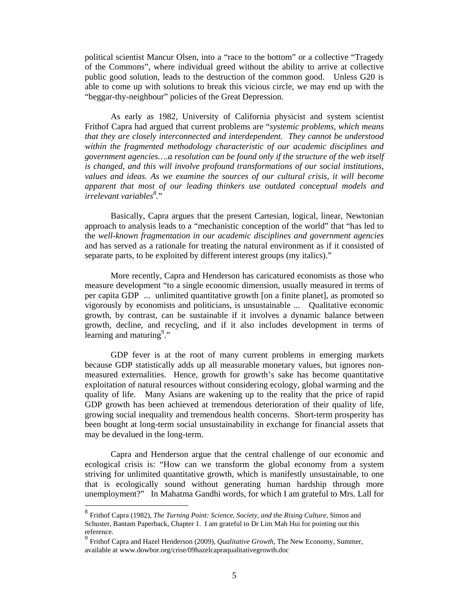political scientist Mancur Olsen, into a "race to the bottom" or a collective "Tragedy of the Commons", where individual greed without the ability to arrive at collective public good solution, leads to the destruction of the common good. Unless G20 is able to come up with solutions to break this vicious circle, we may end up with the "beggar-thy-neighbour" policies of the Great Depression.

 As early as 1982, University of California physicist and system scientist Frithof Capra had argued that current problems are "*systemic problems, which means that they are closely interconnected and interdependent. They cannot be understood within the fragmented methodology characteristic of our academic disciplines and government agencies….a resolution can be found only if the structure of the web itself is changed, and this will involve profound transformations of our social institutions, values and ideas. As we examine the sources of our cultural crisis, it will become apparent that most of our leading thinkers use outdated conceptual models and irrelevant variables<sup>8</sup> .*"

 Basically, Capra argues that the present Cartesian, logical, linear, Newtonian approach to analysis leads to a "mechanistic conception of the world" that "has led to the *well-known fragmentation in our academic disciplines and government agencies* and has served as a rationale for treating the natural environment as if it consisted of separate parts, to be exploited by different interest groups (my italics)."

More recently, Capra and Henderson has caricatured economists as those who measure development "to a single economic dimension, usually measured in terms of per capita GDP ... unlimited quantitative growth [on a finite planet], as promoted so vigorously by economists and politicians, is unsustainable ... Qualitative economic growth, by contrast, can be sustainable if it involves a dynamic balance between growth, decline, and recycling, and if it also includes development in terms of Learning and maturing<sup>9</sup>."

 GDP fever is at the root of many current problems in emerging markets because GDP statistically adds up all measurable monetary values, but ignores nonmeasured externalities. Hence, growth for growth's sake has become quantitative exploitation of natural resources without considering ecology, global warming and the quality of life. Many Asians are wakening up to the reality that the price of rapid GDP growth has been achieved at tremendous deterioration of their quality of life, growing social inequality and tremendous health concerns. Short-term prosperity has been bought at long-term social unsustainability in exchange for financial assets that may be devalued in the long-term.

 Capra and Henderson argue that the central challenge of our economic and ecological crisis is: "How can we transform the global economy from a system striving for unlimited quantitative growth, which is manifestly unsustainable, to one that is ecologically sound without generating human hardship through more unemployment?" In Mahatma Gandhi words, for which I am grateful to Mrs. Lall for

 $\overline{a}$ 

<sup>8</sup> Frithof Capra (1982), *The Turning Point: Science, Society, and the Rising Culture*, Simon and Schuster, Bantam Paperback, Chapter 1. I am grateful to Dr Lim Mah Hui for pointing out this reference.

<sup>9</sup> Frithof Capra and Hazel Henderson (2009), *Qualitative Growth*, The New Economy, Summer, available at www.dowbor.org/crise/09hazelcapraqualitativegrowth.doc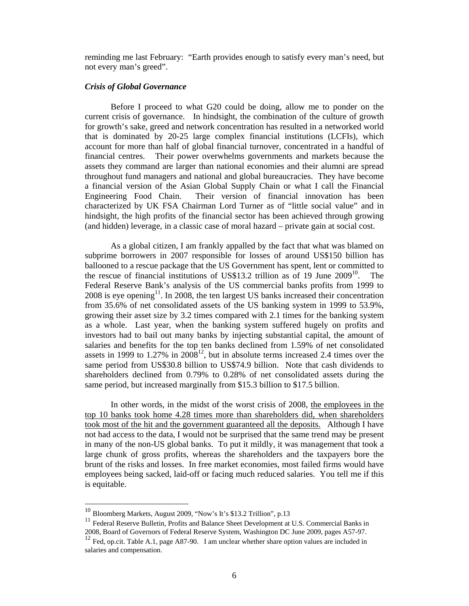reminding me last February: "Earth provides enough to satisfy every man's need, but not every man's greed".

#### *Crisis of Global Governance*

 Before I proceed to what G20 could be doing, allow me to ponder on the current crisis of governance. In hindsight, the combination of the culture of growth for growth's sake, greed and network concentration has resulted in a networked world that is dominated by 20-25 large complex financial institutions (LCFIs), which account for more than half of global financial turnover, concentrated in a handful of financial centres. Their power overwhelms governments and markets because the assets they command are larger than national economies and their alumni are spread throughout fund managers and national and global bureaucracies. They have become a financial version of the Asian Global Supply Chain or what I call the Financial Engineering Food Chain. Their version of financial innovation has been characterized by UK FSA Chairman Lord Turner as of "little social value" and in hindsight, the high profits of the financial sector has been achieved through growing (and hidden) leverage, in a classic case of moral hazard – private gain at social cost.

 As a global citizen, I am frankly appalled by the fact that what was blamed on subprime borrowers in 2007 responsible for losses of around US\$150 billion has ballooned to a rescue package that the US Government has spent, lent or committed to the rescue of financial institutions of US\$13.2 trillion as of 19 June  $2009^{10}$ . The Federal Reserve Bank's analysis of the US commercial banks profits from 1999 to  $2008$  is eye opening<sup>11</sup>. In 2008, the ten largest US banks increased their concentration from 35.6% of net consolidated assets of the US banking system in 1999 to 53.9%, growing their asset size by 3.2 times compared with 2.1 times for the banking system as a whole. Last year, when the banking system suffered hugely on profits and investors had to bail out many banks by injecting substantial capital, the amount of salaries and benefits for the top ten banks declined from 1.59% of net consolidated assets in 1999 to 1.27% in  $2008^{12}$ , but in absolute terms increased 2.4 times over the same period from US\$30.8 billion to US\$74.9 billion. Note that cash dividends to shareholders declined from 0.79% to 0.28% of net consolidated assets during the same period, but increased marginally from \$15.3 billion to \$17.5 billion.

 In other words, in the midst of the worst crisis of 2008, the employees in the top 10 banks took home 4.28 times more than shareholders did, when shareholders took most of the hit and the government guaranteed all the deposits. Although I have not had access to the data, I would not be surprised that the same trend may be present in many of the non-US global banks. To put it mildly, it was management that took a large chunk of gross profits, whereas the shareholders and the taxpayers bore the brunt of the risks and losses. In free market economies, most failed firms would have employees being sacked, laid-off or facing much reduced salaries. You tell me if this is equitable.

 $\overline{a}$ 

 $10$  Bloomberg Markets, August 2009, "Now's It's \$13.2 Trillion", p.13

<sup>&</sup>lt;sup>11</sup> Federal Reserve Bulletin, Profits and Balance Sheet Development at U.S. Commercial Banks in 2008, Board of Governors of Federal Reserve System, Washington DC June 2009, pages A57-97.

 $12$  Fed, op.cit. Table A.1, page A87-90. I am unclear whether share option values are included in salaries and compensation.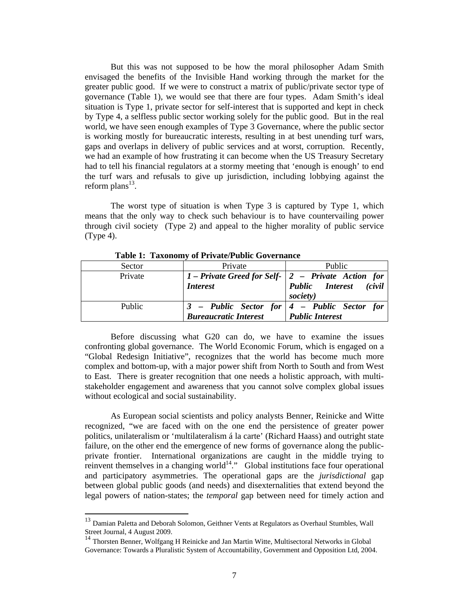But this was not supposed to be how the moral philosopher Adam Smith envisaged the benefits of the Invisible Hand working through the market for the greater public good. If we were to construct a matrix of public/private sector type of governance (Table 1), we would see that there are four types. Adam Smith's ideal situation is Type 1, private sector for self-interest that is supported and kept in check by Type 4, a selfless public sector working solely for the public good. But in the real world, we have seen enough examples of Type 3 Governance, where the public sector is working mostly for bureaucratic interests, resulting in at best unending turf wars, gaps and overlaps in delivery of public services and at worst, corruption. Recently, we had an example of how frustrating it can become when the US Treasury Secretary had to tell his financial regulators at a stormy meeting that 'enough is enough' to end the turf wars and refusals to give up jurisdiction, including lobbying against the reform plans $^{13}$ .

 The worst type of situation is when Type 3 is captured by Type 1, which means that the only way to check such behaviour is to have countervailing power through civil society (Type 2) and appeal to the higher morality of public service (Type 4).

| Sector  | Private                                                                             | <b>Public</b>          |
|---------|-------------------------------------------------------------------------------------|------------------------|
| Private | 1 – Private Greed for Self- $\vert 2 \vert$ – Private Action for<br><i>Interest</i> | Public Interest (civil |
|         |                                                                                     | society)               |
| Public  | $3$ – Public Sector for $ 4$ – Public Sector for                                    |                        |
|         | <b>Bureaucratic Interest</b>                                                        | <b>Public Interest</b> |

**Table 1: Taxonomy of Private/Public Governance** 

 Before discussing what G20 can do, we have to examine the issues confronting global governance. The World Economic Forum, which is engaged on a "Global Redesign Initiative", recognizes that the world has become much more complex and bottom-up, with a major power shift from North to South and from West to East. There is greater recognition that one needs a holistic approach, with multistakeholder engagement and awareness that you cannot solve complex global issues without ecological and social sustainability.

 As European social scientists and policy analysts Benner, Reinicke and Witte recognized, "we are faced with on the one end the persistence of greater power politics, unilateralism or 'multilateralism á la carte' (Richard Haass) and outright state failure, on the other end the emergence of new forms of governance along the publicprivate frontier. International organizations are caught in the middle trying to reinvent themselves in a changing world<sup>14</sup>." Global institutions face four operational and participatory asymmetries. The operational gaps are the *jurisdictional* gap between global public goods (and needs) and disexternalities that extend beyond the legal powers of nation-states; the *temporal* gap between need for timely action and

 $13$  Damian Paletta and Deborah Solomon, Geithner Vents at Regulators as Overhaul Stumbles, Wall Street Journal, 4 August 2009.

<sup>&</sup>lt;sup>14</sup> Thorsten Benner, Wolfgang H Reinicke and Jan Martin Witte, Multisectoral Networks in Global Governance: Towards a Pluralistic System of Accountability, Government and Opposition Ltd, 2004.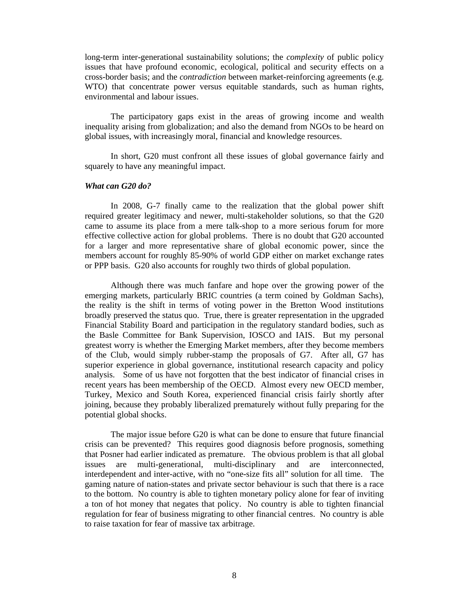long-term inter-generational sustainability solutions; the *complexity* of public policy issues that have profound economic, ecological, political and security effects on a cross-border basis; and the *contradiction* between market-reinforcing agreements (e.g. WTO) that concentrate power versus equitable standards, such as human rights, environmental and labour issues.

 The participatory gaps exist in the areas of growing income and wealth inequality arising from globalization; and also the demand from NGOs to be heard on global issues, with increasingly moral, financial and knowledge resources.

 In short, G20 must confront all these issues of global governance fairly and squarely to have any meaningful impact.

## *What can G20 do?*

 In 2008, G-7 finally came to the realization that the global power shift required greater legitimacy and newer, multi-stakeholder solutions, so that the G20 came to assume its place from a mere talk-shop to a more serious forum for more effective collective action for global problems. There is no doubt that G20 accounted for a larger and more representative share of global economic power, since the members account for roughly 85-90% of world GDP either on market exchange rates or PPP basis. G20 also accounts for roughly two thirds of global population.

 Although there was much fanfare and hope over the growing power of the emerging markets, particularly BRIC countries (a term coined by Goldman Sachs), the reality is the shift in terms of voting power in the Bretton Wood institutions broadly preserved the status quo. True, there is greater representation in the upgraded Financial Stability Board and participation in the regulatory standard bodies, such as the Basle Committee for Bank Supervision, IOSCO and IAIS. But my personal greatest worry is whether the Emerging Market members, after they become members of the Club, would simply rubber-stamp the proposals of G7. After all, G7 has superior experience in global governance, institutional research capacity and policy analysis. Some of us have not forgotten that the best indicator of financial crises in recent years has been membership of the OECD. Almost every new OECD member, Turkey, Mexico and South Korea, experienced financial crisis fairly shortly after joining, because they probably liberalized prematurely without fully preparing for the potential global shocks.

 The major issue before G20 is what can be done to ensure that future financial crisis can be prevented? This requires good diagnosis before prognosis, something that Posner had earlier indicated as premature. The obvious problem is that all global issues are multi-generational, multi-disciplinary and are interconnected, interdependent and inter-active, with no "one-size fits all" solution for all time. The gaming nature of nation-states and private sector behaviour is such that there is a race to the bottom. No country is able to tighten monetary policy alone for fear of inviting a ton of hot money that negates that policy. No country is able to tighten financial regulation for fear of business migrating to other financial centres. No country is able to raise taxation for fear of massive tax arbitrage.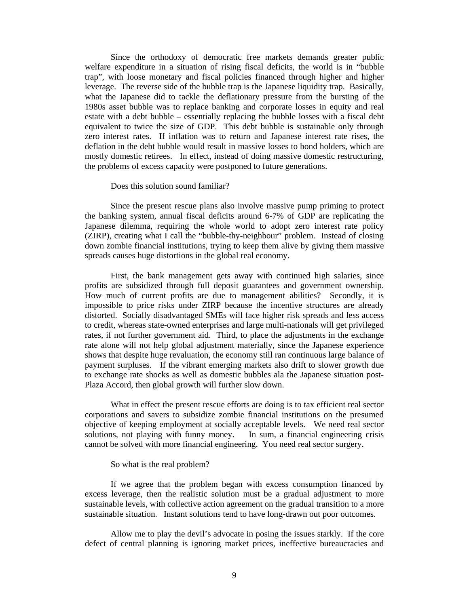Since the orthodoxy of democratic free markets demands greater public welfare expenditure in a situation of rising fiscal deficits, the world is in "bubble trap", with loose monetary and fiscal policies financed through higher and higher leverage. The reverse side of the bubble trap is the Japanese liquidity trap. Basically, what the Japanese did to tackle the deflationary pressure from the bursting of the 1980s asset bubble was to replace banking and corporate losses in equity and real estate with a debt bubble – essentially replacing the bubble losses with a fiscal debt equivalent to twice the size of GDP. This debt bubble is sustainable only through zero interest rates. If inflation was to return and Japanese interest rate rises, the deflation in the debt bubble would result in massive losses to bond holders, which are mostly domestic retirees. In effect, instead of doing massive domestic restructuring, the problems of excess capacity were postponed to future generations.

#### Does this solution sound familiar?

 Since the present rescue plans also involve massive pump priming to protect the banking system, annual fiscal deficits around 6-7% of GDP are replicating the Japanese dilemma, requiring the whole world to adopt zero interest rate policy (ZIRP), creating what I call the "bubble-thy-neighbour" problem. Instead of closing down zombie financial institutions, trying to keep them alive by giving them massive spreads causes huge distortions in the global real economy.

 First, the bank management gets away with continued high salaries, since profits are subsidized through full deposit guarantees and government ownership. How much of current profits are due to management abilities? Secondly, it is impossible to price risks under ZIRP because the incentive structures are already distorted. Socially disadvantaged SMEs will face higher risk spreads and less access to credit, whereas state-owned enterprises and large multi-nationals will get privileged rates, if not further government aid. Third, to place the adjustments in the exchange rate alone will not help global adjustment materially, since the Japanese experience shows that despite huge revaluation, the economy still ran continuous large balance of payment surpluses. If the vibrant emerging markets also drift to slower growth due to exchange rate shocks as well as domestic bubbles ala the Japanese situation post-Plaza Accord, then global growth will further slow down.

 What in effect the present rescue efforts are doing is to tax efficient real sector corporations and savers to subsidize zombie financial institutions on the presumed objective of keeping employment at socially acceptable levels. We need real sector solutions, not playing with funny money. In sum, a financial engineering crisis cannot be solved with more financial engineering. You need real sector surgery.

#### So what is the real problem?

 If we agree that the problem began with excess consumption financed by excess leverage, then the realistic solution must be a gradual adjustment to more sustainable levels, with collective action agreement on the gradual transition to a more sustainable situation. Instant solutions tend to have long-drawn out poor outcomes.

 Allow me to play the devil's advocate in posing the issues starkly. If the core defect of central planning is ignoring market prices, ineffective bureaucracies and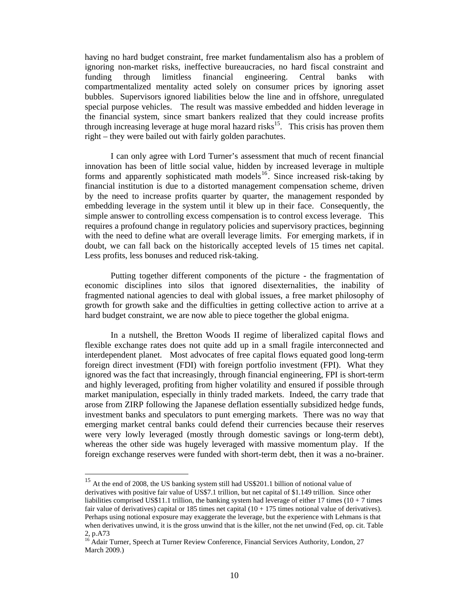having no hard budget constraint, free market fundamentalism also has a problem of ignoring non-market risks, ineffective bureaucracies, no hard fiscal constraint and funding through limitless financial engineering. Central banks with compartmentalized mentality acted solely on consumer prices by ignoring asset bubbles. Supervisors ignored liabilities below the line and in offshore, unregulated special purpose vehicles. The result was massive embedded and hidden leverage in the financial system, since smart bankers realized that they could increase profits through increasing leverage at huge moral hazard risks<sup>15</sup>. This crisis has proven them right – they were bailed out with fairly golden parachutes.

 I can only agree with Lord Turner's assessment that much of recent financial innovation has been of little social value, hidden by increased leverage in multiple forms and apparently sophisticated math models<sup>16</sup>. Since increased risk-taking by financial institution is due to a distorted management compensation scheme, driven by the need to increase profits quarter by quarter, the management responded by embedding leverage in the system until it blew up in their face. Consequently, the simple answer to controlling excess compensation is to control excess leverage. This requires a profound change in regulatory policies and supervisory practices, beginning with the need to define what are overall leverage limits. For emerging markets, if in doubt, we can fall back on the historically accepted levels of 15 times net capital. Less profits, less bonuses and reduced risk-taking.

 Putting together different components of the picture - the fragmentation of economic disciplines into silos that ignored disexternalities, the inability of fragmented national agencies to deal with global issues, a free market philosophy of growth for growth sake and the difficulties in getting collective action to arrive at a hard budget constraint, we are now able to piece together the global enigma.

 In a nutshell, the Bretton Woods II regime of liberalized capital flows and flexible exchange rates does not quite add up in a small fragile interconnected and interdependent planet. Most advocates of free capital flows equated good long-term foreign direct investment (FDI) with foreign portfolio investment (FPI). What they ignored was the fact that increasingly, through financial engineering, FPI is short-term and highly leveraged, profiting from higher volatility and ensured if possible through market manipulation, especially in thinly traded markets. Indeed, the carry trade that arose from ZIRP following the Japanese deflation essentially subsidized hedge funds, investment banks and speculators to punt emerging markets. There was no way that emerging market central banks could defend their currencies because their reserves were very lowly leveraged (mostly through domestic savings or long-term debt), whereas the other side was hugely leveraged with massive momentum play. If the foreign exchange reserves were funded with short-term debt, then it was a no-brainer.

<sup>&</sup>lt;sup>15</sup> At the end of 2008, the US banking system still had US\$201.1 billion of notional value of derivatives with positive fair value of US\$7.1 trillion, but net capital of \$1.149 trillion. Since other liabilities comprised US\$11.1 trillion, the banking system had leverage of either 17 times ( $10 + 7$  times fair value of derivatives) capital or 185 times net capital  $(10 + 175)$  times notional value of derivatives). Perhaps using notional exposure may exaggerate the leverage, but the experience with Lehmans is that when derivatives unwind, it is the gross unwind that is the killer, not the net unwind (Fed, op. cit. Table 2, p.A73

<sup>16</sup> Adair Turner, Speech at Turner Review Conference, Financial Services Authority, London, 27 March 2009.)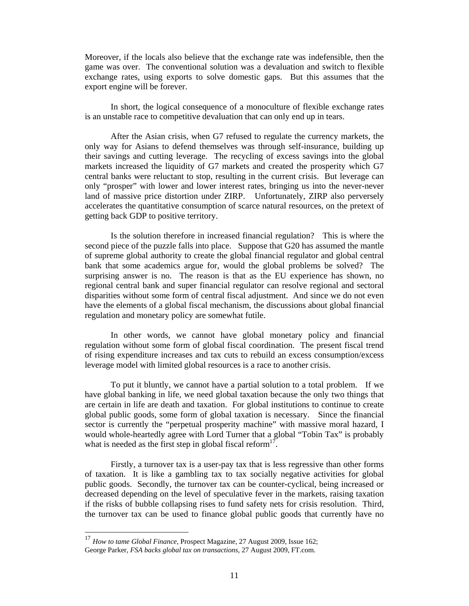Moreover, if the locals also believe that the exchange rate was indefensible, then the game was over. The conventional solution was a devaluation and switch to flexible exchange rates, using exports to solve domestic gaps. But this assumes that the export engine will be forever.

 In short, the logical consequence of a monoculture of flexible exchange rates is an unstable race to competitive devaluation that can only end up in tears.

 After the Asian crisis, when G7 refused to regulate the currency markets, the only way for Asians to defend themselves was through self-insurance, building up their savings and cutting leverage. The recycling of excess savings into the global markets increased the liquidity of G7 markets and created the prosperity which G7 central banks were reluctant to stop, resulting in the current crisis. But leverage can only "prosper" with lower and lower interest rates, bringing us into the never-never land of massive price distortion under ZIRP. Unfortunately, ZIRP also perversely accelerates the quantitative consumption of scarce natural resources, on the pretext of getting back GDP to positive territory.

 Is the solution therefore in increased financial regulation? This is where the second piece of the puzzle falls into place. Suppose that G20 has assumed the mantle of supreme global authority to create the global financial regulator and global central bank that some academics argue for, would the global problems be solved? The surprising answer is no. The reason is that as the EU experience has shown, no regional central bank and super financial regulator can resolve regional and sectoral disparities without some form of central fiscal adjustment. And since we do not even have the elements of a global fiscal mechanism, the discussions about global financial regulation and monetary policy are somewhat futile.

 In other words, we cannot have global monetary policy and financial regulation without some form of global fiscal coordination. The present fiscal trend of rising expenditure increases and tax cuts to rebuild an excess consumption/excess leverage model with limited global resources is a race to another crisis.

 To put it bluntly, we cannot have a partial solution to a total problem. If we have global banking in life, we need global taxation because the only two things that are certain in life are death and taxation. For global institutions to continue to create global public goods, some form of global taxation is necessary. Since the financial sector is currently the "perpetual prosperity machine" with massive moral hazard, I would whole-heartedly agree with Lord Turner that a global "Tobin Tax" is probably what is needed as the first step in global fiscal reform $17$ .

 Firstly, a turnover tax is a user-pay tax that is less regressive than other forms of taxation. It is like a gambling tax to tax socially negative activities for global public goods. Secondly, the turnover tax can be counter-cyclical, being increased or decreased depending on the level of speculative fever in the markets, raising taxation if the risks of bubble collapsing rises to fund safety nets for crisis resolution. Third, the turnover tax can be used to finance global public goods that currently have no

<sup>17</sup> *How to tame Global Finance*, Prospect Magazine, 27 August 2009, Issue 162; George Parker, *FSA backs global tax on transactions*, 27 August 2009, FT.com.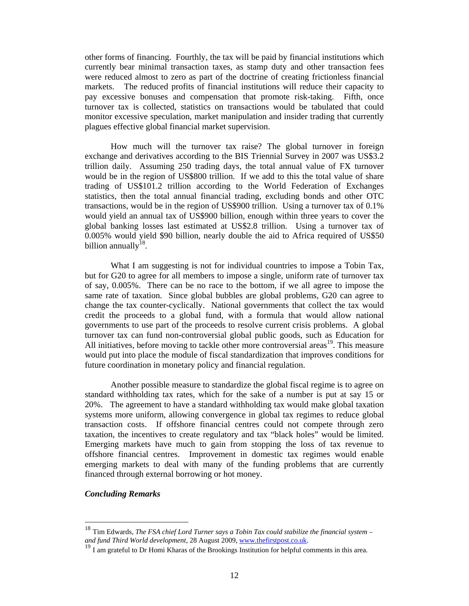other forms of financing. Fourthly, the tax will be paid by financial institutions which currently bear minimal transaction taxes, as stamp duty and other transaction fees were reduced almost to zero as part of the doctrine of creating frictionless financial markets. The reduced profits of financial institutions will reduce their capacity to pay excessive bonuses and compensation that promote risk-taking. Fifth, once turnover tax is collected, statistics on transactions would be tabulated that could monitor excessive speculation, market manipulation and insider trading that currently plagues effective global financial market supervision.

 How much will the turnover tax raise? The global turnover in foreign exchange and derivatives according to the BIS Triennial Survey in 2007 was US\$3.2 trillion daily. Assuming 250 trading days, the total annual value of FX turnover would be in the region of US\$800 trillion. If we add to this the total value of share trading of US\$101.2 trillion according to the World Federation of Exchanges statistics, then the total annual financial trading, excluding bonds and other OTC transactions, would be in the region of US\$900 trillion. Using a turnover tax of 0.1% would yield an annual tax of US\$900 billion, enough within three years to cover the global banking losses last estimated at US\$2.8 trillion. Using a turnover tax of 0.005% would yield \$90 billion, nearly double the aid to Africa required of US\$50 billion annually $18$ .

What I am suggesting is not for individual countries to impose a Tobin Tax, but for G20 to agree for all members to impose a single, uniform rate of turnover tax of say, 0.005%. There can be no race to the bottom, if we all agree to impose the same rate of taxation. Since global bubbles are global problems, G20 can agree to change the tax counter-cyclically. National governments that collect the tax would credit the proceeds to a global fund, with a formula that would allow national governments to use part of the proceeds to resolve current crisis problems. A global turnover tax can fund non-controversial global public goods, such as Education for All initiatives, before moving to tackle other more controversial areas<sup>19</sup>. This measure would put into place the module of fiscal standardization that improves conditions for future coordination in monetary policy and financial regulation.

 Another possible measure to standardize the global fiscal regime is to agree on standard withholding tax rates, which for the sake of a number is put at say 15 or 20%. The agreement to have a standard withholding tax would make global taxation systems more uniform, allowing convergence in global tax regimes to reduce global transaction costs. If offshore financial centres could not compete through zero taxation, the incentives to create regulatory and tax "black holes" would be limited. Emerging markets have much to gain from stopping the loss of tax revenue to offshore financial centres. Improvement in domestic tax regimes would enable emerging markets to deal with many of the funding problems that are currently financed through external borrowing or hot money.

## *Concluding Remarks*

<sup>18</sup> Tim Edwards, *The FSA chief Lord Turner says a Tobin Tax could stabilize the financial system – and fund Third World development*, 28 August 2009, <u>www.thefirstpost.co.uk</u>.<br><sup>19</sup> I am grateful to Dr Homi Kharas of the Brookings Institution for helpful comments in this area.